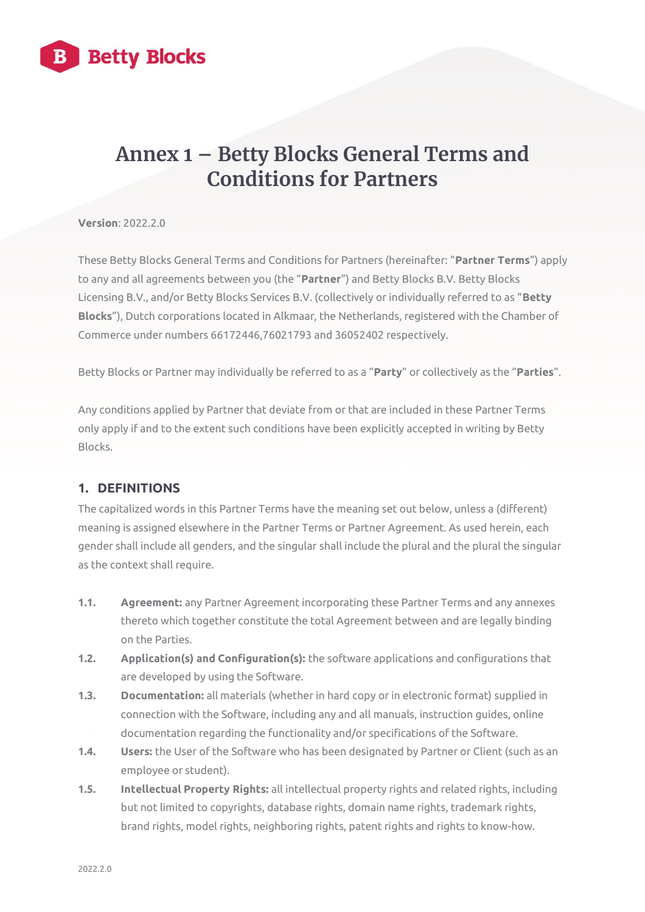

# **Annex 1 – Betty Blocks General Terms and Conditions for Partners**

**Version**: 2022.2.0

These Betty Blocks General Terms and Conditions for Partners (hereinafter: "**Partner Terms**") apply to any and all agreements between you (the "**Partner**") and Betty Blocks B.V. Betty Blocks Licensing B.V., and/or Betty Blocks Services B.V. (collectively or individually referred to as "**Betty Blocks**"), Dutch corporations located in Alkmaar, the Netherlands, registered with the Chamber of Commerce under numbers 66172446,76021793 and 36052402 respectively.

Betty Blocks or Partner may individually be referred to as a "**Party**" or collectively as the "**Parties**".

Any conditions applied by Partner that deviate from or that are included in these Partner Terms only apply if and to the extent such conditions have been explicitly accepted in writing by Betty Blocks.

### **1. DEFINITIONS**

The capitalized words in this Partner Terms have the meaning set out below, unless a (different) meaning is assigned elsewhere in the Partner Terms or Partner Agreement. As used herein, each gender shall include all genders, and the singular shall include the plural and the plural the singular as the context shall require.

- **1.1. Agreement:** any Partner Agreement incorporating these Partner Terms and any annexes thereto which together constitute the total Agreement between and are legally binding on the Parties.
- **1.2. Application(s) and Configuration(s):** the software applications and configurations that are developed by using the Software.
- **1.3. Documentation:** all materials (whether in hard copy or in electronic format) supplied in connection with the Software, including any and all manuals, instruction guides, online documentation regarding the functionality and/or specifications of the Software.
- **1.4. Users:** the User of the Software who has been designated by Partner or Client (such as an employee or student).
- **1.5. Intellectual Property Rights:** all intellectual property rights and related rights, including but not limited to copyrights, database rights, domain name rights, trademark rights, brand rights, model rights, neighboring rights, patent rights and rights to know-how.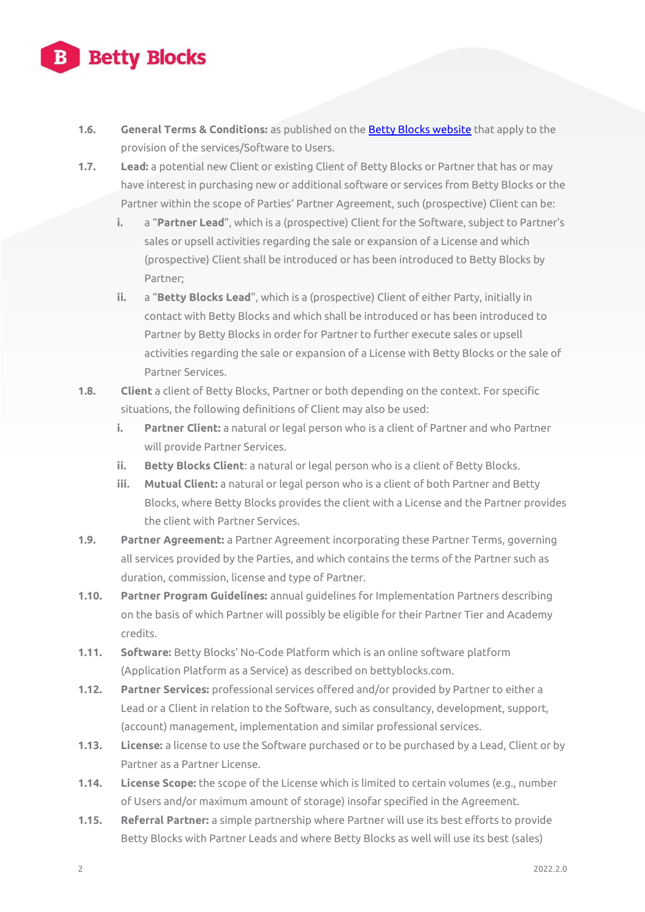- **1.6. General Terms & Conditions:** as published on th[e Betty Blocks website](https://www.bettyblocks.com/terms-conditions) that apply to the provision of the services/Software to Users.
- **1.7. Lead:** a potential new Client or existing Client of Betty Blocks or Partner that has or may have interest in purchasing new or additional software or services from Betty Blocks or the Partner within the scope of Parties' Partner Agreement, such (prospective) Client can be:
	- **i.** a "**Partner Lead**", which is a (prospective) Client for the Software, subject to Partner's sales or upsell activities regarding the sale or expansion of a License and which (prospective) Client shall be introduced or has been introduced to Betty Blocks by Partner;
	- **ii.** a "**Betty Blocks Lead**", which is a (prospective) Client of either Party, initially in contact with Betty Blocks and which shall be introduced or has been introduced to Partner by Betty Blocks in order for Partner to further execute sales or upsell activities regarding the sale or expansion of a License with Betty Blocks or the sale of Partner Services.
- **1.8. Client** a client of Betty Blocks, Partner or both depending on the context. For specific situations, the following definitions of Client may also be used:
	- **i. Partner Client:** a natural or legal person who is a client of Partner and who Partner will provide Partner Services.
	- **ii. Betty Blocks Client**: a natural or legal person who is a client of Betty Blocks.
	- **iii. Mutual Client:** a natural or legal person who is a client of both Partner and Betty Blocks, where Betty Blocks provides the client with a License and the Partner provides the client with Partner Services.
- **1.9. Partner Agreement:** a Partner Agreement incorporating these Partner Terms, governing all services provided by the Parties, and which contains the terms of the Partner such as duration, commission, license and type of Partner.
- **1.10. Partner Program Guidelines:** annual guidelines for Implementation Partners describing on the basis of which Partner will possibly be eligible for their Partner Tier and Academy credits.
- **1.11. Software:** Betty Blocks' No-Code Platform which is an online software platform (Application Platform as a Service) as described on bettyblocks.com.
- **1.12. Partner Services:** professional services offered and/or provided by Partner to either a Lead or a Client in relation to the Software, such as consultancy, development, support, (account) management, implementation and similar professional services.
- **1.13. License:** a license to use the Software purchased or to be purchased by a Lead, Client or by Partner as a Partner License.
- **1.14. License Scope:** the scope of the License which is limited to certain volumes (e.g., number of Users and/or maximum amount of storage) insofar specified in the Agreement.
- **1.15. Referral Partner:** a simple partnership where Partner will use its best efforts to provide Betty Blocks with Partner Leads and where Betty Blocks as well will use its best (sales)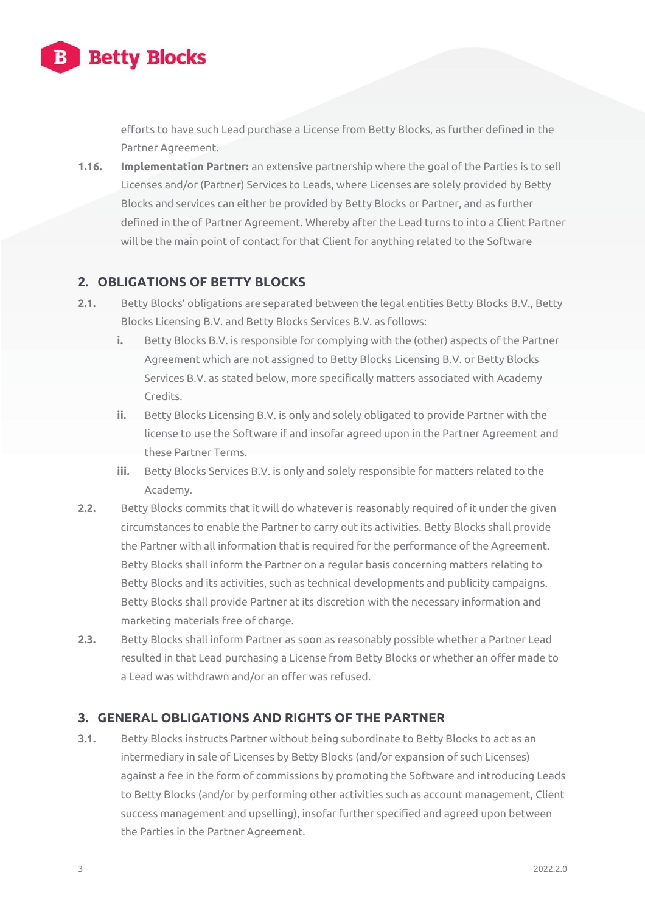

efforts to have such Lead purchase a License from Betty Blocks, as further defined in the Partner Agreement.

**1.16. Implementation Partner:** an extensive partnership where the goal of the Parties is to sell Licenses and/or (Partner) Services to Leads, where Licenses are solely provided by Betty Blocks and services can either be provided by Betty Blocks or Partner, and as further defined in the of Partner Agreement. Whereby after the Lead turns to into a Client Partner will be the main point of contact for that Client for anything related to the Software

### **2. OBLIGATIONS OF BETTY BLOCKS**

- **2.1.** Betty Blocks' obligations are separated between the legal entities Betty Blocks B.V., Betty Blocks Licensing B.V. and Betty Blocks Services B.V. as follows:
	- **i.** Betty Blocks B.V. is responsible for complying with the (other) aspects of the Partner Agreement which are not assigned to Betty Blocks Licensing B.V. or Betty Blocks Services B.V. as stated below, more specifically matters associated with Academy Credits.
	- **ii.** Betty Blocks Licensing B.V. is only and solely obligated to provide Partner with the license to use the Software if and insofar agreed upon in the Partner Agreement and these Partner Terms.
	- **iii.** Betty Blocks Services B.V. is only and solely responsible for matters related to the Academy.
- **2.2.** Betty Blocks commits that it will do whatever is reasonably required of it under the given circumstances to enable the Partner to carry out its activities. Betty Blocks shall provide the Partner with all information that is required for the performance of the Agreement. Betty Blocks shall inform the Partner on a regular basis concerning matters relating to Betty Blocks and its activities, such as technical developments and publicity campaigns. Betty Blocks shall provide Partner at its discretion with the necessary information and marketing materials free of charge.
- **2.3.** Betty Blocks shall inform Partner as soon as reasonably possible whether a Partner Lead resulted in that Lead purchasing a License from Betty Blocks or whether an offer made to a Lead was withdrawn and/or an offer was refused.

### **3. GENERAL OBLIGATIONS AND RIGHTS OF THE PARTNER**

**3.1.** Betty Blocks instructs Partner without being subordinate to Betty Blocks to act as an intermediary in sale of Licenses by Betty Blocks (and/or expansion of such Licenses) against a fee in the form of commissions by promoting the Software and introducing Leads to Betty Blocks (and/or by performing other activities such as account management, Client success management and upselling), insofar further specified and agreed upon between the Parties in the Partner Agreement.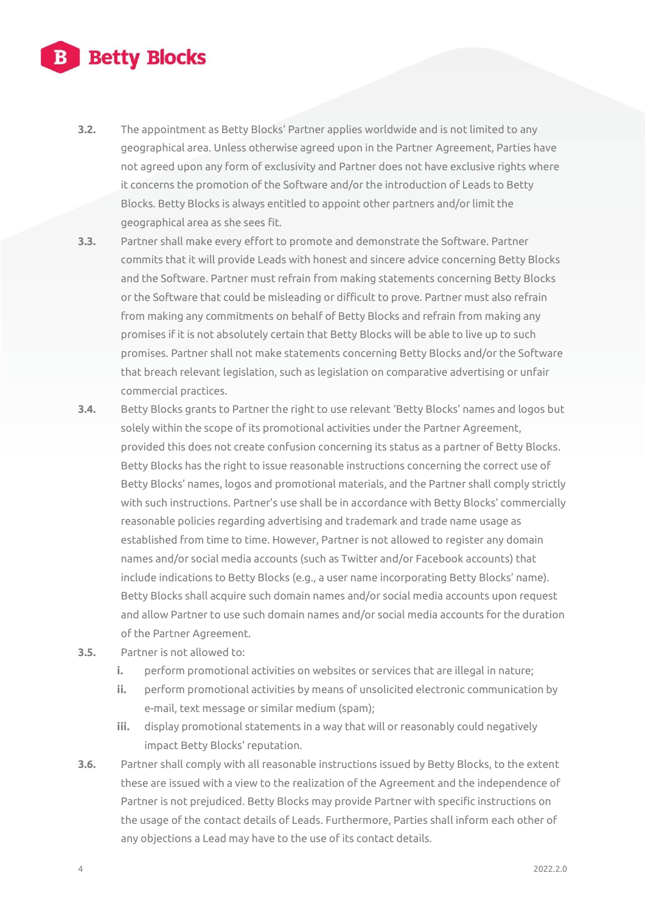- **3.2.** The appointment as Betty Blocks' Partner applies worldwide and is not limited to any geographical area. Unless otherwise agreed upon in the Partner Agreement, Parties have not agreed upon any form of exclusivity and Partner does not have exclusive rights where it concerns the promotion of the Software and/or the introduction of Leads to Betty Blocks. Betty Blocks is always entitled to appoint other partners and/or limit the geographical area as she sees fit.
- **3.3.** Partner shall make every effort to promote and demonstrate the Software. Partner commits that it will provide Leads with honest and sincere advice concerning Betty Blocks and the Software. Partner must refrain from making statements concerning Betty Blocks or the Software that could be misleading or difficult to prove. Partner must also refrain from making any commitments on behalf of Betty Blocks and refrain from making any promises if it is not absolutely certain that Betty Blocks will be able to live up to such promises. Partner shall not make statements concerning Betty Blocks and/or the Software that breach relevant legislation, such as legislation on comparative advertising or unfair commercial practices.
- **3.4.** Betty Blocks grants to Partner the right to use relevant 'Betty Blocks' names and logos but solely within the scope of its promotional activities under the Partner Agreement, provided this does not create confusion concerning its status as a partner of Betty Blocks. Betty Blocks has the right to issue reasonable instructions concerning the correct use of Betty Blocks' names, logos and promotional materials, and the Partner shall comply strictly with such instructions. Partner's use shall be in accordance with Betty Blocks' commercially reasonable policies regarding advertising and trademark and trade name usage as established from time to time. However, Partner is not allowed to register any domain names and/or social media accounts (such as Twitter and/or Facebook accounts) that include indications to Betty Blocks (e.g., a user name incorporating Betty Blocks' name). Betty Blocks shall acquire such domain names and/or social media accounts upon request and allow Partner to use such domain names and/or social media accounts for the duration of the Partner Agreement.
- **3.5.** Partner is not allowed to:
	- **i.** perform promotional activities on websites or services that are illegal in nature;
	- **ii.** perform promotional activities by means of unsolicited electronic communication by e-mail, text message or similar medium (spam);
	- **iii.** display promotional statements in a way that will or reasonably could negatively impact Betty Blocks' reputation.
- **3.6.** Partner shall comply with all reasonable instructions issued by Betty Blocks, to the extent these are issued with a view to the realization of the Agreement and the independence of Partner is not prejudiced. Betty Blocks may provide Partner with specific instructions on the usage of the contact details of Leads. Furthermore, Parties shall inform each other of any objections a Lead may have to the use of its contact details.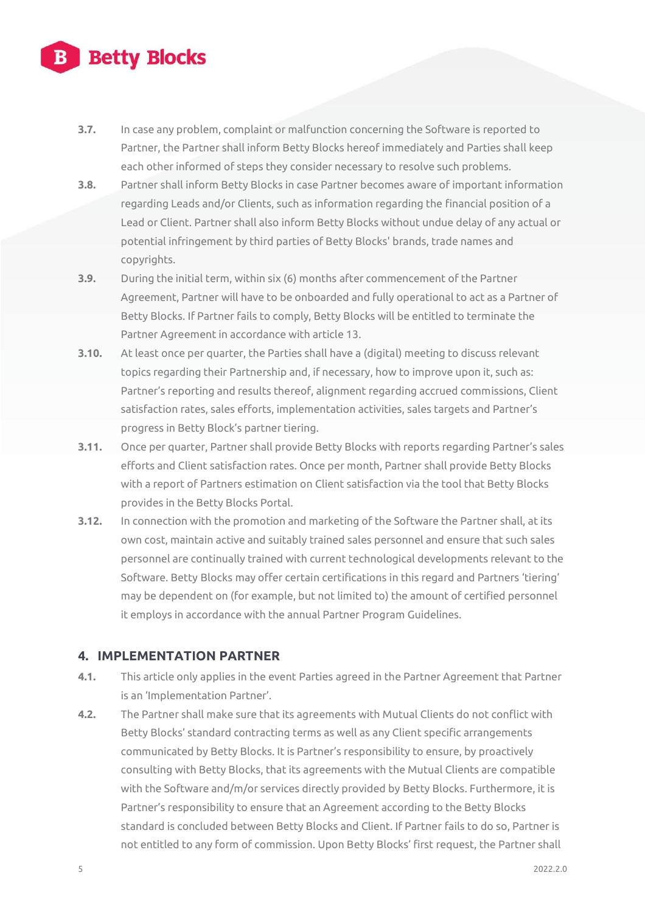- **3.7.** In case any problem, complaint or malfunction concerning the Software is reported to Partner, the Partner shall inform Betty Blocks hereof immediately and Parties shall keep each other informed of steps they consider necessary to resolve such problems.
- **3.8.** Partner shall inform Betty Blocks in case Partner becomes aware of important information regarding Leads and/or Clients, such as information regarding the financial position of a Lead or Client. Partner shall also inform Betty Blocks without undue delay of any actual or potential infringement by third parties of Betty Blocks' brands, trade names and copyrights.
- **3.9.** During the initial term, within six (6) months after commencement of the Partner Agreement, Partner will have to be onboarded and fully operational to act as a Partner of Betty Blocks. If Partner fails to comply, Betty Blocks will be entitled to terminate the Partner Agreement in accordance with article 13.
- **3.10.** At least once per quarter, the Parties shall have a (digital) meeting to discuss relevant topics regarding their Partnership and, if necessary, how to improve upon it, such as: Partner's reporting and results thereof, alignment regarding accrued commissions, Client satisfaction rates, sales efforts, implementation activities, sales targets and Partner's progress in Betty Block's partner tiering.
- **3.11.** Once per quarter, Partner shall provide Betty Blocks with reports regarding Partner's sales efforts and Client satisfaction rates. Once per month, Partner shall provide Betty Blocks with a report of Partners estimation on Client satisfaction via the tool that Betty Blocks provides in the Betty Blocks Portal.
- **3.12.** In connection with the promotion and marketing of the Software the Partner shall, at its own cost, maintain active and suitably trained sales personnel and ensure that such sales personnel are continually trained with current technological developments relevant to the Software. Betty Blocks may offer certain certifications in this regard and Partners 'tiering' may be dependent on (for example, but not limited to) the amount of certified personnel it employs in accordance with the annual Partner Program Guidelines.

### **4. IMPLEMENTATION PARTNER**

- **4.1.** This article only applies in the event Parties agreed in the Partner Agreement that Partner is an 'Implementation Partner'.
- **4.2.** The Partner shall make sure that its agreements with Mutual Clients do not conflict with Betty Blocks' standard contracting terms as well as any Client specific arrangements communicated by Betty Blocks. It is Partner's responsibility to ensure, by proactively consulting with Betty Blocks, that its agreements with the Mutual Clients are compatible with the Software and/m/or services directly provided by Betty Blocks. Furthermore, it is Partner's responsibility to ensure that an Agreement according to the Betty Blocks standard is concluded between Betty Blocks and Client. If Partner fails to do so, Partner is not entitled to any form of commission. Upon Betty Blocks' first request, the Partner shall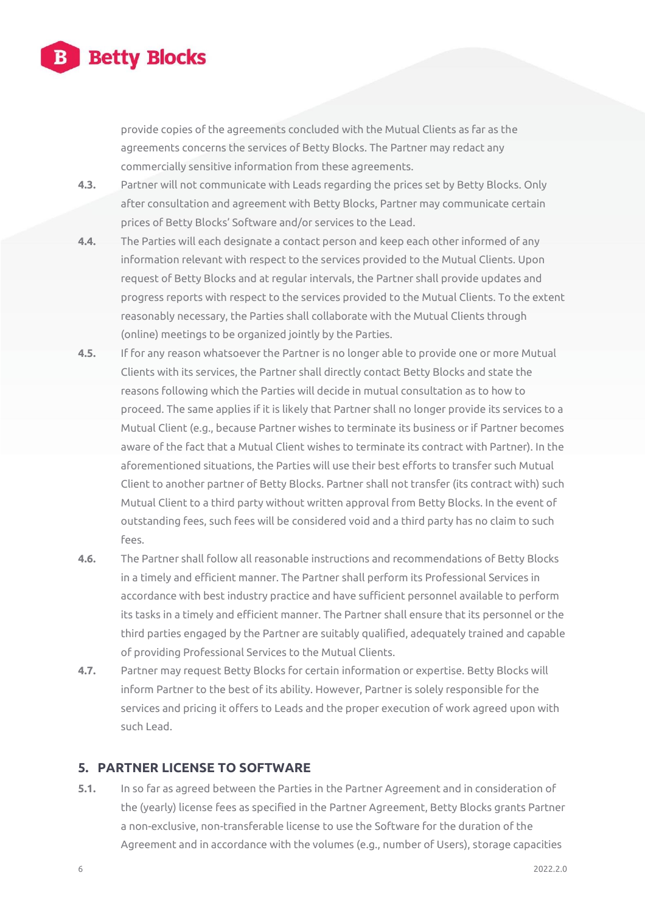

provide copies of the agreements concluded with the Mutual Clients as far as the agreements concerns the services of Betty Blocks. The Partner may redact any commercially sensitive information from these agreements.

- **4.3.** Partner will not communicate with Leads regarding the prices set by Betty Blocks. Only after consultation and agreement with Betty Blocks, Partner may communicate certain prices of Betty Blocks' Software and/or services to the Lead.
- **4.4.** The Parties will each designate a contact person and keep each other informed of any information relevant with respect to the services provided to the Mutual Clients. Upon request of Betty Blocks and at regular intervals, the Partner shall provide updates and progress reports with respect to the services provided to the Mutual Clients. To the extent reasonably necessary, the Parties shall collaborate with the Mutual Clients through (online) meetings to be organized jointly by the Parties.
- **4.5.** If for any reason whatsoever the Partner is no longer able to provide one or more Mutual Clients with its services, the Partner shall directly contact Betty Blocks and state the reasons following which the Parties will decide in mutual consultation as to how to proceed. The same applies if it is likely that Partner shall no longer provide its services to a Mutual Client (e.g., because Partner wishes to terminate its business or if Partner becomes aware of the fact that a Mutual Client wishes to terminate its contract with Partner). In the aforementioned situations, the Parties will use their best efforts to transfer such Mutual Client to another partner of Betty Blocks. Partner shall not transfer (its contract with) such Mutual Client to a third party without written approval from Betty Blocks. In the event of outstanding fees, such fees will be considered void and a third party has no claim to such fees.
- **4.6.** The Partner shall follow all reasonable instructions and recommendations of Betty Blocks in a timely and efficient manner. The Partner shall perform its Professional Services in accordance with best industry practice and have sufficient personnel available to perform its tasks in a timely and efficient manner. The Partner shall ensure that its personnel or the third parties engaged by the Partner are suitably qualified, adequately trained and capable of providing Professional Services to the Mutual Clients.
- **4.7.** Partner may request Betty Blocks for certain information or expertise. Betty Blocks will inform Partner to the best of its ability. However, Partner is solely responsible for the services and pricing it offers to Leads and the proper execution of work agreed upon with such Lead.

#### **5. PARTNER LICENSE TO SOFTWARE**

**5.1.** In so far as agreed between the Parties in the Partner Agreement and in consideration of the (yearly) license fees as specified in the Partner Agreement, Betty Blocks grants Partner a non-exclusive, non-transferable license to use the Software for the duration of the Agreement and in accordance with the volumes (e.g., number of Users), storage capacities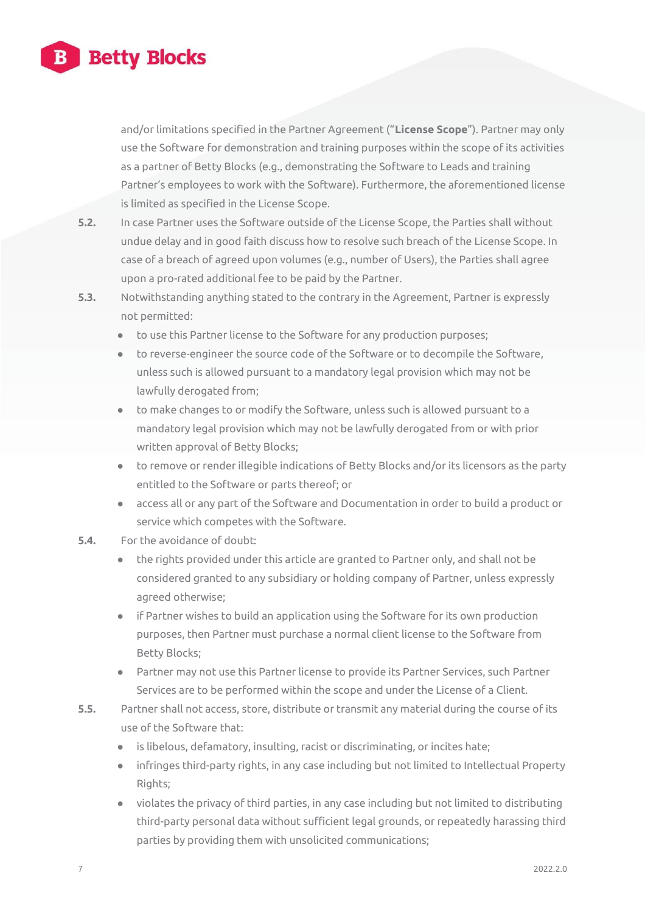

and/or limitations specified in the Partner Agreement ("**License Scope**"). Partner may only use the Software for demonstration and training purposes within the scope of its activities as a partner of Betty Blocks (e.g., demonstrating the Software to Leads and training Partner's employees to work with the Software). Furthermore, the aforementioned license is limited as specified in the License Scope.

- **5.2.** In case Partner uses the Software outside of the License Scope, the Parties shall without undue delay and in good faith discuss how to resolve such breach of the License Scope. In case of a breach of agreed upon volumes (e.g., number of Users), the Parties shall agree upon a pro-rated additional fee to be paid by the Partner.
- **5.3.** Notwithstanding anything stated to the contrary in the Agreement, Partner is expressly not permitted:
	- **●** to use this Partner license to the Software for any production purposes;
	- **●** to reverse-engineer the source code of the Software or to decompile the Software, unless such is allowed pursuant to a mandatory legal provision which may not be lawfully derogated from;
	- **●** to make changes to or modify the Software, unless such is allowed pursuant to a mandatory legal provision which may not be lawfully derogated from or with prior written approval of Betty Blocks;
	- **●** to remove or render illegible indications of Betty Blocks and/or its licensors as the party entitled to the Software or parts thereof; or
	- **●** access all or any part of the Software and Documentation in order to build a product or service which competes with the Software.
- **5.4.** For the avoidance of doubt:
	- **●** the rights provided under this article are granted to Partner only, and shall not be considered granted to any subsidiary or holding company of Partner, unless expressly agreed otherwise;
	- **●** if Partner wishes to build an application using the Software for its own production purposes, then Partner must purchase a normal client license to the Software from Betty Blocks;
	- **●** Partner may not use this Partner license to provide its Partner Services, such Partner Services are to be performed within the scope and under the License of a Client.
- **5.5.** Partner shall not access, store, distribute or transmit any material during the course of its use of the Software that:
	- is libelous, defamatory, insulting, racist or discriminating, or incites hate;
	- **●** infringes third-party rights, in any case including but not limited to Intellectual Property Rights;
	- **●** violates the privacy of third parties, in any case including but not limited to distributing third-party personal data without sufficient legal grounds, or repeatedly harassing third parties by providing them with unsolicited communications;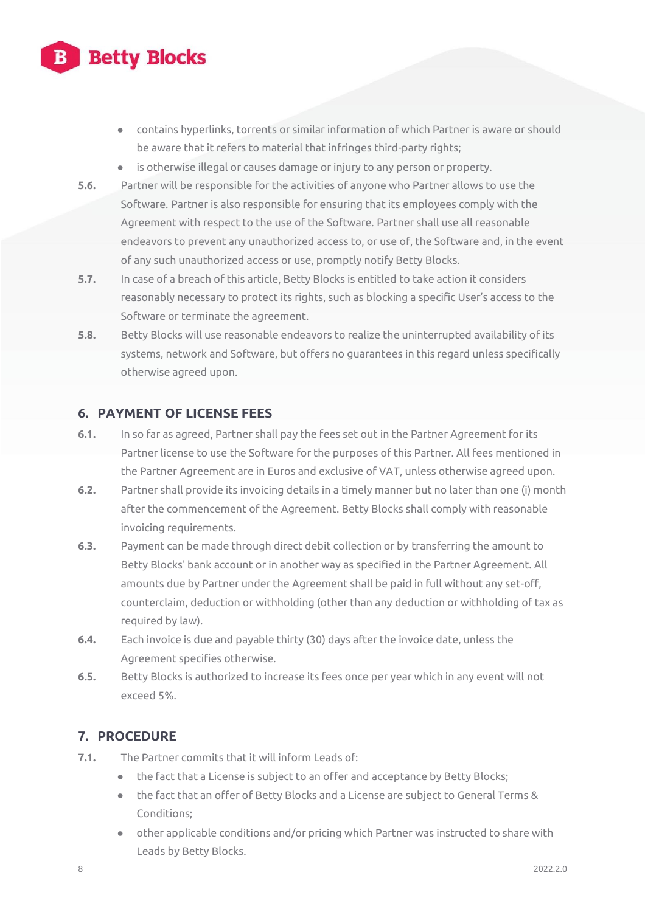- **●** contains hyperlinks, torrents or similar information of which Partner is aware or should be aware that it refers to material that infringes third-party rights;
- **●** is otherwise illegal or causes damage or injury to any person or property.
- **5.6.** Partner will be responsible for the activities of anyone who Partner allows to use the Software. Partner is also responsible for ensuring that its employees comply with the Agreement with respect to the use of the Software. Partner shall use all reasonable endeavors to prevent any unauthorized access to, or use of, the Software and, in the event of any such unauthorized access or use, promptly notify Betty Blocks.
- **5.7.** In case of a breach of this article, Betty Blocks is entitled to take action it considers reasonably necessary to protect its rights, such as blocking a specific User's access to the Software or terminate the agreement.
- **5.8.** Betty Blocks will use reasonable endeavors to realize the uninterrupted availability of its systems, network and Software, but offers no guarantees in this regard unless specifically otherwise agreed upon.

### **6. PAYMENT OF LICENSE FEES**

- **6.1.** In so far as agreed, Partner shall pay the fees set out in the Partner Agreement for its Partner license to use the Software for the purposes of this Partner. All fees mentioned in the Partner Agreement are in Euros and exclusive of VAT, unless otherwise agreed upon.
- **6.2.** Partner shall provide its invoicing details in a timely manner but no later than one (i) month after the commencement of the Agreement. Betty Blocks shall comply with reasonable invoicing requirements.
- **6.3.** Payment can be made through direct debit collection or by transferring the amount to Betty Blocks' bank account or in another way as specified in the Partner Agreement. All amounts due by Partner under the Agreement shall be paid in full without any set-off, counterclaim, deduction or withholding (other than any deduction or withholding of tax as required by law).
- **6.4.** Each invoice is due and payable thirty (30) days after the invoice date, unless the Agreement specifies otherwise.
- **6.5.** Betty Blocks is authorized to increase its fees once per year which in any event will not exceed 5%.

### **7. PROCEDURE**

- **7.1.** The Partner commits that it will inform Leads of:
	- **●** the fact that a License is subject to an offer and acceptance by Betty Blocks;
	- **●** the fact that an offer of Betty Blocks and a License are subject to General Terms & Conditions;
	- **●** other applicable conditions and/or pricing which Partner was instructed to share with Leads by Betty Blocks.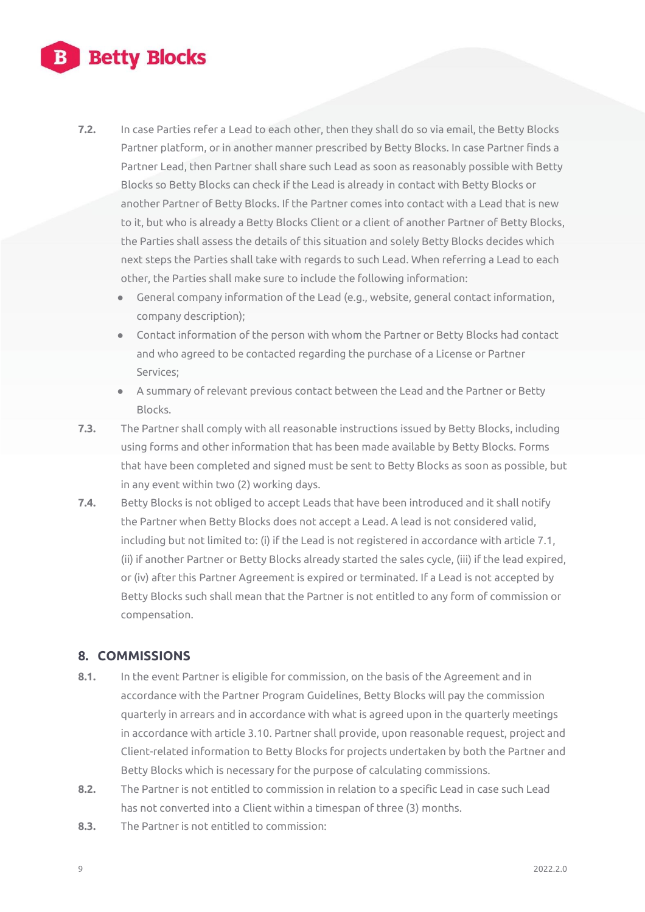- **7.2.** In case Parties refer a Lead to each other, then they shall do so via email, the Betty Blocks Partner platform, or in another manner prescribed by Betty Blocks. In case Partner finds a Partner Lead, then Partner shall share such Lead as soon as reasonably possible with Betty Blocks so Betty Blocks can check if the Lead is already in contact with Betty Blocks or another Partner of Betty Blocks. If the Partner comes into contact with a Lead that is new to it, but who is already a Betty Blocks Client or a client of another Partner of Betty Blocks, the Parties shall assess the details of this situation and solely Betty Blocks decides which next steps the Parties shall take with regards to such Lead. When referring a Lead to each other, the Parties shall make sure to include the following information:
	- **●** General company information of the Lead (e.g., website, general contact information, company description);
	- **●** Contact information of the person with whom the Partner or Betty Blocks had contact and who agreed to be contacted regarding the purchase of a License or Partner Services;
	- **●** A summary of relevant previous contact between the Lead and the Partner or Betty Blocks.
- **7.3.** The Partner shall comply with all reasonable instructions issued by Betty Blocks, including using forms and other information that has been made available by Betty Blocks. Forms that have been completed and signed must be sent to Betty Blocks as soon as possible, but in any event within two (2) working days.
- **7.4.** Betty Blocks is not obliged to accept Leads that have been introduced and it shall notify the Partner when Betty Blocks does not accept a Lead. A lead is not considered valid, including but not limited to: (i) if the Lead is not registered in accordance with article 7.1, (ii) if another Partner or Betty Blocks already started the sales cycle, (iii) if the lead expired, or (iv) after this Partner Agreement is expired or terminated. If a Lead is not accepted by Betty Blocks such shall mean that the Partner is not entitled to any form of commission or compensation.

### **8. COMMISSIONS**

- **8.1.** In the event Partner is eligible for commission, on the basis of the Agreement and in accordance with the Partner Program Guidelines, Betty Blocks will pay the commission quarterly in arrears and in accordance with what is agreed upon in the quarterly meetings in accordance with article 3.10. Partner shall provide, upon reasonable request, project and Client-related information to Betty Blocks for projects undertaken by both the Partner and Betty Blocks which is necessary for the purpose of calculating commissions.
- **8.2.** The Partner is not entitled to commission in relation to a specific Lead in case such Lead has not converted into a Client within a timespan of three (3) months.
- **8.3.** The Partner is not entitled to commission: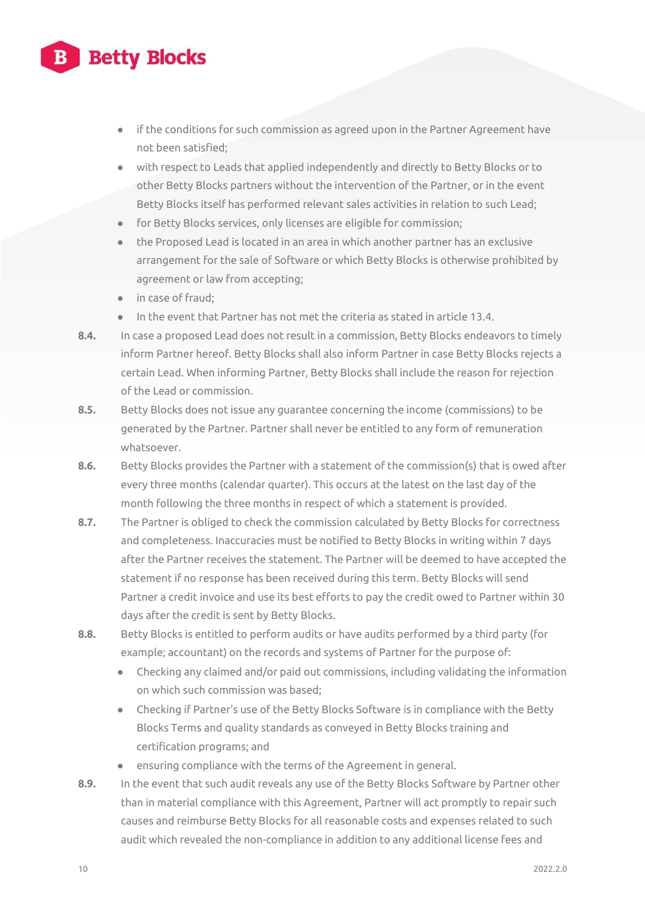- **●** if the conditions for such commission as agreed upon in the Partner Agreement have not been satisfied;
- **●** with respect to Leads that applied independently and directly to Betty Blocks or to other Betty Blocks partners without the intervention of the Partner, or in the event Betty Blocks itself has performed relevant sales activities in relation to such Lead;
- **●** for Betty Blocks services, only licenses are eligible for commission;
- **●** the Proposed Lead is located in an area in which another partner has an exclusive arrangement for the sale of Software or which Betty Blocks is otherwise prohibited by agreement or law from accepting;
- **●** in case of fraud;
- **●** In the event that Partner has not met the criteria as stated in article 13.4.
- **8.4.** In case a proposed Lead does not result in a commission, Betty Blocks endeavors to timely inform Partner hereof. Betty Blocks shall also inform Partner in case Betty Blocks rejects a certain Lead. When informing Partner, Betty Blocks shall include the reason for rejection of the Lead or commission.
- **8.5.** Betty Blocks does not issue any guarantee concerning the income (commissions) to be generated by the Partner. Partner shall never be entitled to any form of remuneration whatsoever.
- **8.6.** Betty Blocks provides the Partner with a statement of the commission(s) that is owed after every three months (calendar quarter). This occurs at the latest on the last day of the month following the three months in respect of which a statement is provided.
- **8.7.** The Partner is obliged to check the commission calculated by Betty Blocks for correctness and completeness. Inaccuracies must be notified to Betty Blocks in writing within 7 days after the Partner receives the statement. The Partner will be deemed to have accepted the statement if no response has been received during this term. Betty Blocks will send Partner a credit invoice and use its best efforts to pay the credit owed to Partner within 30 days after the credit is sent by Betty Blocks.
- **8.8.** Betty Blocks is entitled to perform audits or have audits performed by a third party (for example; accountant) on the records and systems of Partner for the purpose of:
	- **●** Checking any claimed and/or paid out commissions, including validating the information on which such commission was based;
	- **●** Checking if Partner's use of the Betty Blocks Software is in compliance with the Betty Blocks Terms and quality standards as conveyed in Betty Blocks training and certification programs; and
	- **●** ensuring compliance with the terms of the Agreement in general.
- **8.9.** In the event that such audit reveals any use of the Betty Blocks Software by Partner other than in material compliance with this Agreement, Partner will act promptly to repair such causes and reimburse Betty Blocks for all reasonable costs and expenses related to such audit which revealed the non-compliance in addition to any additional license fees and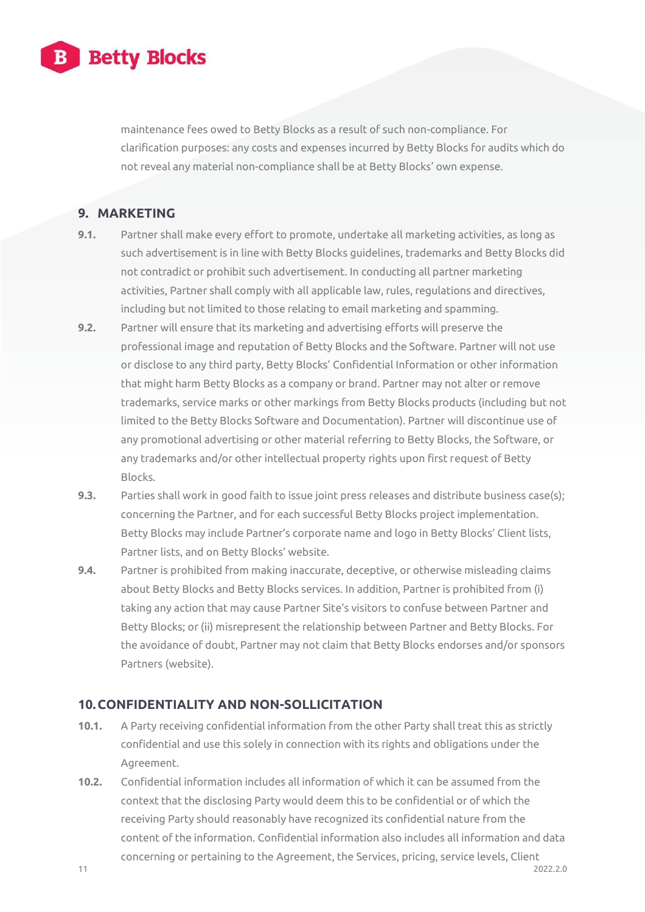

maintenance fees owed to Betty Blocks as a result of such non-compliance. For clarification purposes: any costs and expenses incurred by Betty Blocks for audits which do not reveal any material non-compliance shall be at Betty Blocks' own expense.

### **9. MARKETING**

- **9.1.** Partner shall make every effort to promote, undertake all marketing activities, as long as such advertisement is in line with Betty Blocks guidelines, trademarks and Betty Blocks did not contradict or prohibit such advertisement. In conducting all partner marketing activities, Partner shall comply with all applicable law, rules, regulations and directives, including but not limited to those relating to email marketing and spamming.
- **9.2.** Partner will ensure that its marketing and advertising efforts will preserve the professional image and reputation of Betty Blocks and the Software. Partner will not use or disclose to any third party, Betty Blocks' Confidential Information or other information that might harm Betty Blocks as a company or brand. Partner may not alter or remove trademarks, service marks or other markings from Betty Blocks products (including but not limited to the Betty Blocks Software and Documentation). Partner will discontinue use of any promotional advertising or other material referring to Betty Blocks, the Software, or any trademarks and/or other intellectual property rights upon first request of Betty Blocks.
- **9.3.** Parties shall work in good faith to issue joint press releases and distribute business case(s): concerning the Partner, and for each successful Betty Blocks project implementation. Betty Blocks may include Partner's corporate name and logo in Betty Blocks' Client lists, Partner lists, and on Betty Blocks' website.
- **9.4.** Partner is prohibited from making inaccurate, deceptive, or otherwise misleading claims about Betty Blocks and Betty Blocks services. In addition, Partner is prohibited from (i) taking any action that may cause Partner Site's visitors to confuse between Partner and Betty Blocks; or (ii) misrepresent the relationship between Partner and Betty Blocks. For the avoidance of doubt, Partner may not claim that Betty Blocks endorses and/or sponsors Partners (website).

### **10.CONFIDENTIALITY AND NON-SOLLICITATION**

- **10.1.** A Party receiving confidential information from the other Party shall treat this as strictly confidential and use this solely in connection with its rights and obligations under the Agreement.
- **10.2.** Confidential information includes all information of which it can be assumed from the context that the disclosing Party would deem this to be confidential or of which the receiving Party should reasonably have recognized its confidential nature from the content of the information. Confidential information also includes all information and data concerning or pertaining to the Agreement, the Services, pricing, service levels, Client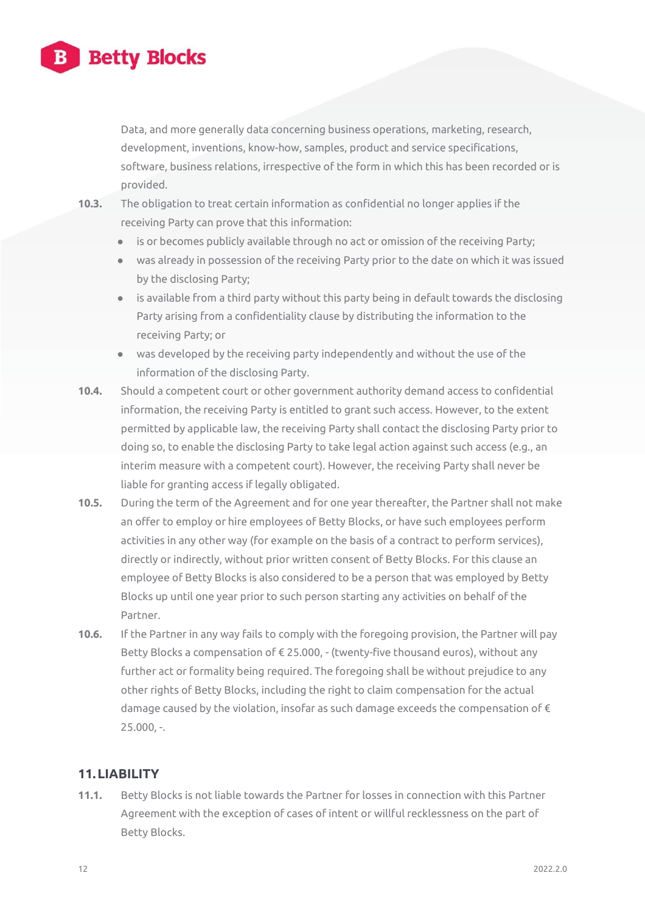

Data, and more generally data concerning business operations, marketing, research, development, inventions, know-how, samples, product and service specifications, software, business relations, irrespective of the form in which this has been recorded or is provided.

- **10.3.** The obligation to treat certain information as confidential no longer applies if the receiving Party can prove that this information:
	- is or becomes publicly available through no act or omission of the receiving Party;
	- **●** was already in possession of the receiving Party prior to the date on which it was issued by the disclosing Party;
	- **●** is available from a third party without this party being in default towards the disclosing Party arising from a confidentiality clause by distributing the information to the receiving Party; or
	- **●** was developed by the receiving party independently and without the use of the information of the disclosing Party.
- **10.4.** Should a competent court or other government authority demand access to confidential information, the receiving Party is entitled to grant such access. However, to the extent permitted by applicable law, the receiving Party shall contact the disclosing Party prior to doing so, to enable the disclosing Party to take legal action against such access (e.g., an interim measure with a competent court). However, the receiving Party shall never be liable for granting access if legally obligated.
- **10.5.** During the term of the Agreement and for one year thereafter, the Partner shall not make an offer to employ or hire employees of Betty Blocks, or have such employees perform activities in any other way (for example on the basis of a contract to perform services), directly or indirectly, without prior written consent of Betty Blocks. For this clause an employee of Betty Blocks is also considered to be a person that was employed by Betty Blocks up until one year prior to such person starting any activities on behalf of the Partner.
- **10.6.** If the Partner in any way fails to comply with the foregoing provision, the Partner will pay Betty Blocks a compensation of € 25.000, - (twenty-five thousand euros), without any further act or formality being required. The foregoing shall be without prejudice to any other rights of Betty Blocks, including the right to claim compensation for the actual damage caused by the violation, insofar as such damage exceeds the compensation of  $\epsilon$ 25.000, -.

## **11.LIABILITY**

**11.1.** Betty Blocks is not liable towards the Partner for losses in connection with this Partner Agreement with the exception of cases of intent or willful recklessness on the part of Betty Blocks.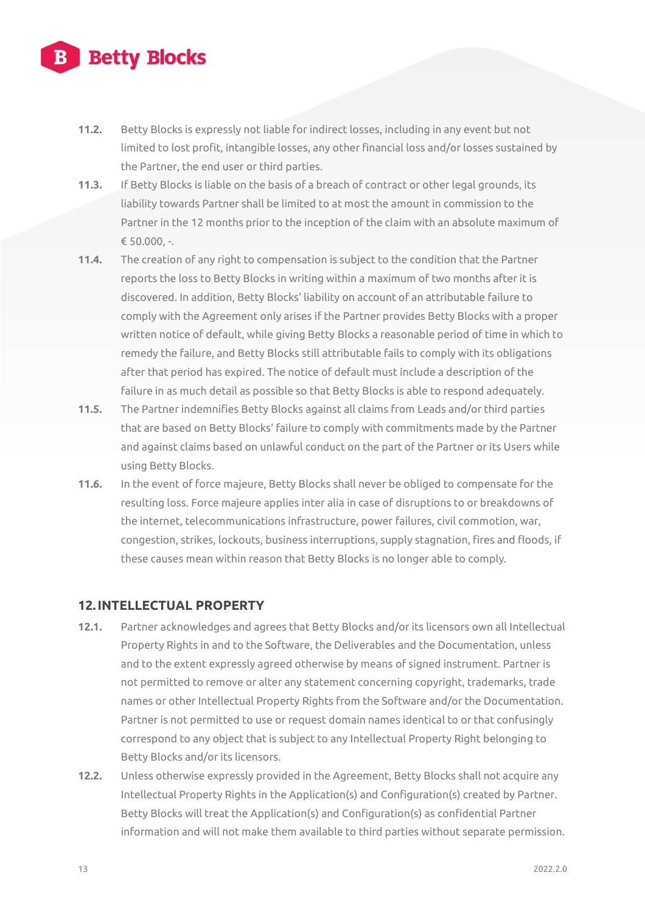- **11.2.** Betty Blocks is expressly not liable for indirect losses, including in any event but not limited to lost profit, intangible losses, any other financial loss and/or losses sustained by the Partner, the end user or third parties.
- **11.3.** If Betty Blocks is liable on the basis of a breach of contract or other legal grounds, its liability towards Partner shall be limited to at most the amount in commission to the Partner in the 12 months prior to the inception of the claim with an absolute maximum of  $\epsilon$  50.000, -.
- **11.4.** The creation of any right to compensation is subject to the condition that the Partner reports the loss to Betty Blocks in writing within a maximum of two months after it is discovered. In addition, Betty Blocks' liability on account of an attributable failure to comply with the Agreement only arises if the Partner provides Betty Blocks with a proper written notice of default, while giving Betty Blocks a reasonable period of time in which to remedy the failure, and Betty Blocks still attributable fails to comply with its obligations after that period has expired. The notice of default must include a description of the failure in as much detail as possible so that Betty Blocks is able to respond adequately.
- **11.5.** The Partner indemnifies Betty Blocks against all claims from Leads and/or third parties that are based on Betty Blocks' failure to comply with commitments made by the Partner and against claims based on unlawful conduct on the part of the Partner or its Users while using Betty Blocks.
- **11.6.** In the event of force majeure, Betty Blocks shall never be obliged to compensate for the resulting loss. Force majeure applies inter alia in case of disruptions to or breakdowns of the internet, telecommunications infrastructure, power failures, civil commotion, war, congestion, strikes, lockouts, business interruptions, supply stagnation, fires and floods, if these causes mean within reason that Betty Blocks is no longer able to comply.

### **12.INTELLECTUAL PROPERTY**

- **12.1.** Partner acknowledges and agrees that Betty Blocks and/or its licensors own all Intellectual Property Rights in and to the Software, the Deliverables and the Documentation, unless and to the extent expressly agreed otherwise by means of signed instrument. Partner is not permitted to remove or alter any statement concerning copyright, trademarks, trade names or other Intellectual Property Rights from the Software and/or the Documentation. Partner is not permitted to use or request domain names identical to or that confusingly correspond to any object that is subject to any Intellectual Property Right belonging to Betty Blocks and/or its licensors.
- **12.2.** Unless otherwise expressly provided in the Agreement, Betty Blocks shall not acquire any Intellectual Property Rights in the Application(s) and Configuration(s) created by Partner. Betty Blocks will treat the Application(s) and Configuration(s) as confidential Partner information and will not make them available to third parties without separate permission.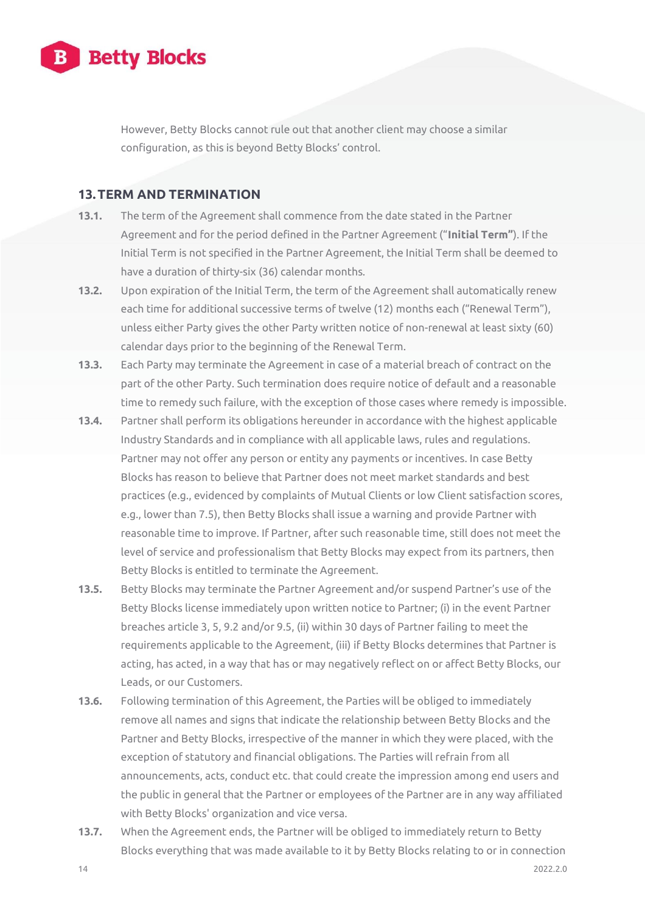

However, Betty Blocks cannot rule out that another client may choose a similar configuration, as this is beyond Betty Blocks' control.

#### **13.TERM AND TERMINATION**

- **13.1.** The term of the Agreement shall commence from the date stated in the Partner Agreement and for the period defined in the Partner Agreement ("**Initial Term"**). If the Initial Term is not specified in the Partner Agreement, the Initial Term shall be deemed to have a duration of thirty-six (36) calendar months.
- **13.2.** Upon expiration of the Initial Term, the term of the Agreement shall automatically renew each time for additional successive terms of twelve (12) months each ("Renewal Term"), unless either Party gives the other Party written notice of non-renewal at least sixty (60) calendar days prior to the beginning of the Renewal Term.
- **13.3.** Each Party may terminate the Agreement in case of a material breach of contract on the part of the other Party. Such termination does require notice of default and a reasonable time to remedy such failure, with the exception of those cases where remedy is impossible.
- **13.4.** Partner shall perform its obligations hereunder in accordance with the highest applicable Industry Standards and in compliance with all applicable laws, rules and regulations. Partner may not offer any person or entity any payments or incentives. In case Betty Blocks has reason to believe that Partner does not meet market standards and best practices (e.g., evidenced by complaints of Mutual Clients or low Client satisfaction scores, e.g., lower than 7.5), then Betty Blocks shall issue a warning and provide Partner with reasonable time to improve. If Partner, after such reasonable time, still does not meet the level of service and professionalism that Betty Blocks may expect from its partners, then Betty Blocks is entitled to terminate the Agreement.
- **13.5.** Betty Blocks may terminate the Partner Agreement and/or suspend Partner's use of the Betty Blocks license immediately upon written notice to Partner; (i) in the event Partner breaches article 3, 5, 9.2 and/or 9.5, (ii) within 30 days of Partner failing to meet the requirements applicable to the Agreement, (iii) if Betty Blocks determines that Partner is acting, has acted, in a way that has or may negatively reflect on or affect Betty Blocks, our Leads, or our Customers.
- **13.6.** Following termination of this Agreement, the Parties will be obliged to immediately remove all names and signs that indicate the relationship between Betty Blocks and the Partner and Betty Blocks, irrespective of the manner in which they were placed, with the exception of statutory and financial obligations. The Parties will refrain from all announcements, acts, conduct etc. that could create the impression among end users and the public in general that the Partner or employees of the Partner are in any way affiliated with Betty Blocks' organization and vice versa.
- **13.7.** When the Agreement ends, the Partner will be obliged to immediately return to Betty Blocks everything that was made available to it by Betty Blocks relating to or in connection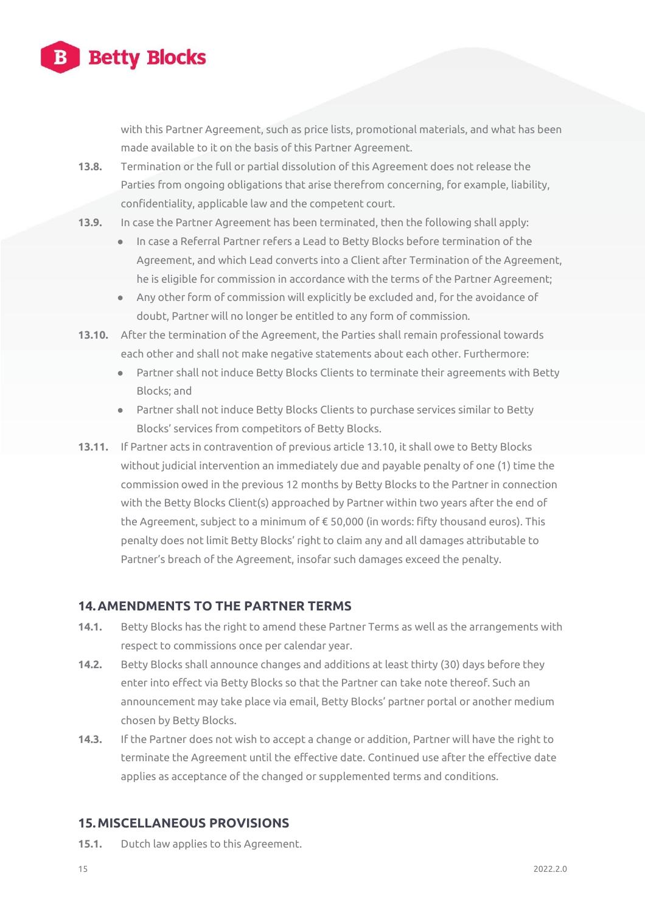

with this Partner Agreement, such as price lists, promotional materials, and what has been made available to it on the basis of this Partner Agreement.

- **13.8.** Termination or the full or partial dissolution of this Agreement does not release the Parties from ongoing obligations that arise therefrom concerning, for example, liability, confidentiality, applicable law and the competent court.
- **13.9.** In case the Partner Agreement has been terminated, then the following shall apply:
	- **●** In case a Referral Partner refers a Lead to Betty Blocks before termination of the Agreement, and which Lead converts into a Client after Termination of the Agreement, he is eligible for commission in accordance with the terms of the Partner Agreement;
	- **●** Any other form of commission will explicitly be excluded and, for the avoidance of doubt, Partner will no longer be entitled to any form of commission.
- **13.10.** After the termination of the Agreement, the Parties shall remain professional towards each other and shall not make negative statements about each other. Furthermore:
	- **●** Partner shall not induce Betty Blocks Clients to terminate their agreements with Betty Blocks; and
	- **●** Partner shall not induce Betty Blocks Clients to purchase services similar to Betty Blocks' services from competitors of Betty Blocks.
- **13.11.** If Partner acts in contravention of previous article 13.10, it shall owe to Betty Blocks without judicial intervention an immediately due and payable penalty of one (1) time the commission owed in the previous 12 months by Betty Blocks to the Partner in connection with the Betty Blocks Client(s) approached by Partner within two years after the end of the Agreement, subject to a minimum of € 50,000 (in words: fifty thousand euros). This penalty does not limit Betty Blocks' right to claim any and all damages attributable to Partner's breach of the Agreement, insofar such damages exceed the penalty.

### **14.AMENDMENTS TO THE PARTNER TERMS**

- **14.1.** Betty Blocks has the right to amend these Partner Terms as well as the arrangements with respect to commissions once per calendar year.
- **14.2.** Betty Blocks shall announce changes and additions at least thirty (30) days before they enter into effect via Betty Blocks so that the Partner can take note thereof. Such an announcement may take place via email, Betty Blocks' partner portal or another medium chosen by Betty Blocks.
- **14.3.** If the Partner does not wish to accept a change or addition, Partner will have the right to terminate the Agreement until the effective date. Continued use after the effective date applies as acceptance of the changed or supplemented terms and conditions.

### **15.MISCELLANEOUS PROVISIONS**

**15.1.** Dutch law applies to this Agreement.